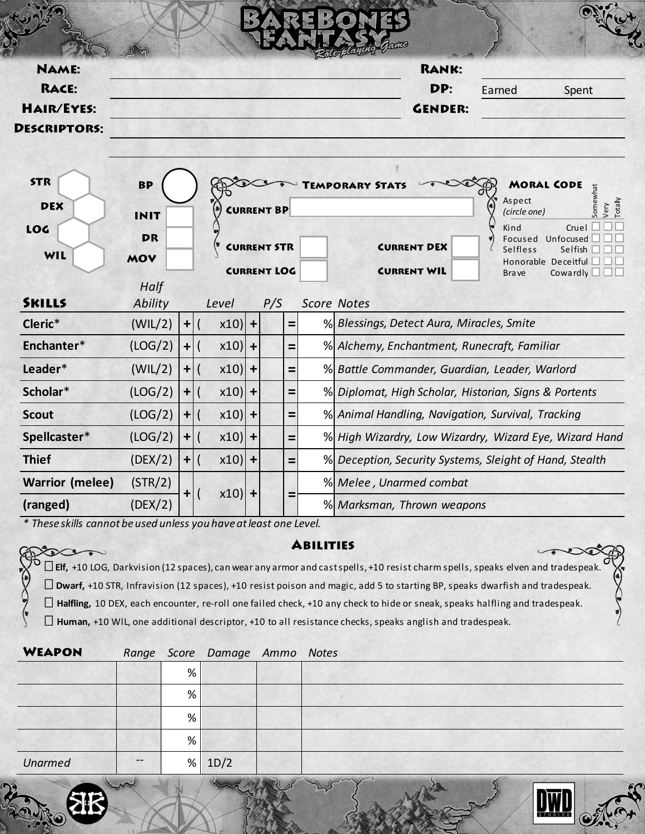| <b>NAME:</b>           |                 |             |                                      |  |                    |  | <b>RANK:</b>                                            |                   |                                       |
|------------------------|-----------------|-------------|--------------------------------------|--|--------------------|--|---------------------------------------------------------|-------------------|---------------------------------------|
| RACE:                  |                 |             | DP:                                  |  |                    |  | Earned<br>Spent                                         |                   |                                       |
| <b>HAIR/EYES:</b>      |                 |             |                                      |  |                    |  | <b>GENDER:</b>                                          |                   |                                       |
| <b>DESCRIPTORS:</b>    |                 |             |                                      |  |                    |  |                                                         |                   |                                       |
| <b>STR</b>             | <b>BP</b>       |             |                                      |  |                    |  | <b>EMPORARY STATS</b>                                   | <b>MORAL CODE</b> |                                       |
| <b>DEX</b>             | <b>INIT</b>     |             | <b>CURRENT BP</b>                    |  |                    |  | Somewhat<br>Aspect<br>Totally<br>Very<br>(circle one)   |                   |                                       |
| LOG                    | <b>DR</b>       |             |                                      |  |                    |  |                                                         | Kind<br>Focused   | Cruel<br>Unfocused                    |
| WIL                    | MOV             |             |                                      |  | <b>CURRENT STR</b> |  | <b>CURRENT DEX</b>                                      | Selfless          | Selfish<br>Honorable Deceitful $\Box$ |
|                        |                 |             |                                      |  | <b>CURRENT LOG</b> |  | <b>CURRENT WIL</b>                                      | <b>Brave</b>      | Cowardly $\square \square \square$    |
| <b>SKILLS</b>          | Half<br>Ability |             | Level                                |  | P/S                |  | <b>Score Notes</b>                                      |                   |                                       |
| Cleric*                | (WIL/2)         | $\mathbf +$ | $x10$  +                             |  | $=$                |  | % Blessings, Detect Aura, Miracles, Smite               |                   |                                       |
| Enchanter*             | (LOG/2)         | $\ddot{}$   | $x10$  +<br>$\overline{ }$           |  | Ξ                  |  | % Alchemy, Enchantment, Runecraft, Familiar             |                   |                                       |
| Leader*                | (WIL/2)         | $\ddot{}$   | $x10$  +                             |  | Ξ                  |  | % Battle Commander, Guardian, Leader, Warlord           |                   |                                       |
| Scholar*               | (LOG/2)         | $\ddot{}$   | $x10$  +                             |  | =                  |  | % Diplomat, High Scholar, Historian, Signs & Portents   |                   |                                       |
| <b>Scout</b>           | (LOG/2)         | $\ddot{}$   | $x10$  +<br>$\overline{\mathcal{L}}$ |  | =                  |  | % Animal Handling, Navigation, Survival, Tracking       |                   |                                       |
| Spellcaster*           | (LOG/2)         | $\ddot{}$   | $x10$  +                             |  | $=$                |  | % High Wizardry, Low Wizardry, Wizard Eye, Wizard Hand  |                   |                                       |
| <b>Thief</b>           | (DEX/2)         | $+$         | $x10$  +<br>$\mathsf{I}$             |  | Ξ                  |  | % Deception, Security Systems, Sleight of Hand, Stealth |                   |                                       |
| <b>Warrior (melee)</b> | (STR/2)         |             |                                      |  |                    |  | % Melee, Unarmed combat                                 |                   |                                       |

*\* These skills cannot be used unless you have at least one Level.*

tocon

 $\begin{pmatrix} 1 \\ 2 \\ 3 \end{pmatrix}$ 

 $x10$ 

**(ranged)** (DEX/2) % *Marksman, Thrown weapons*

## **ABILITIES**

 $\infty$ 

 $\sqrt{2}$ 

**Elf,** +10 LOG, Darkvision (12 spaces), can wear any armor and cast spells, +10 resist charm spells, speaks elven and tradespeak. **Dwarf,** +10 STR, Infravision (12 spaces), +10 resist poison and magic, add 5 to starting BP, speaks dwarfish and tradespeak. **Halfling,** 10 DEX, each encounter, re-roll one failed check, +10 any check to hide or sneak, speaks halfling and tradespeak. **Human,** +10 WIL, one additional descriptor, +10 to all resistance checks, speaks anglish and tradespeak.

| <b>WEAPON</b>  |       |   | Range Score Damage Ammo Notes |  |
|----------------|-------|---|-------------------------------|--|
|                |       | % |                               |  |
|                |       | % |                               |  |
|                |       | % |                               |  |
|                |       | % |                               |  |
| <b>Unarmed</b> | $- -$ | % | 1D/2                          |  |